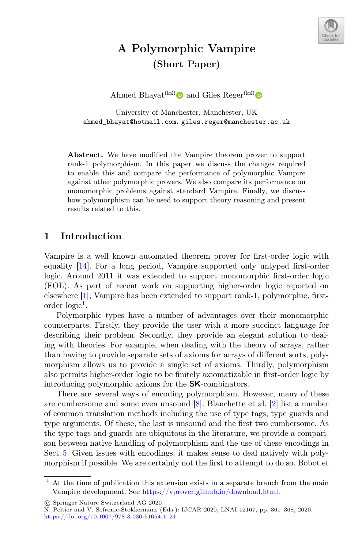

# A Polymorphic Vampire (Short Paper)

Ahmed Bhayat<sup>( $\boxtimes$ [\)](http://orcid.org/0000-0001-6353-952X)</sup> and Giles Reger<sup>( $\boxtimes$ </sup>)

University of Manchester, Manchester, UK ahmed\_bhayat@hotmail.com, giles.reger@manchester.ac.uk

Abstract. We have modified the Vampire theorem prover to support rank-1 polymorphism. In this paper we discuss the changes required to enable this and compare the performance of polymorphic Vampire against other polymorphic provers. We also compare its performance on monomorphic problems against standard Vampire. Finally, we discuss how polymorphism can be used to support theory reasoning and present results related to this.

## 1 Introduction

Vampire is a well known automated theorem prover for first-order logic with equality [\[14\]](#page-7-0). For a long period, Vampire supported only untyped first-order logic. Around 2011 it was extended to support monomorphic first-order logic (FOL). As part of recent work on supporting higher-order logic reported on elsewhere [\[1](#page-6-0)], Vampire has been extended to support rank-1, polymorphic, first-order logic<sup>[1](#page-0-0)</sup>.

Polymorphic types have a number of advantages over their monomorphic counterparts. Firstly, they provide the user with a more succinct language for describing their problem. Secondly, they provide an elegant solution to dealing with theories. For example, when dealing with the theory of arrays, rather than having to provide separate sets of axioms for arrays of different sorts, polymorphism allows us to provide a single set of axioms. Thirdly, polymorphism also permits higher-order logic to be finitely axiomatizable in first-order logic by introducing polymorphic axioms for the **SK**-combinators.

There are several ways of encoding polymorphism. However, many of these are cumbersome and some even unsound [\[8\]](#page-6-1). Blanchette et al. [\[2](#page-6-2)] list a number of common translation methods including the use of type tags, type guards and type arguments. Of these, the last is unsound and the first two cumbersome. As the type tags and guards are ubiquitous in the literature, we provide a comparison between native handling of polymorphism and the use of these encodings in Sect. [5.](#page-5-0) Given issues with encodings, it makes sense to deal natively with polymorphism if possible. We are certainly not the first to attempt to do so. Bobot et

<span id="page-0-0"></span><sup>1</sup> At the time of publication this extension exists in a separate branch from the main Vampire development. See [https://vprover.github.io/download.html.](https://vprover.github.io/download.html)

<sup>-</sup>c Springer Nature Switzerland AG 2020

N. Peltier and V. Sofronie-Stokkermans (Eds.): IJCAR 2020, LNAI 12167, pp. 361–368, 2020. [https://doi.org/10.1007/978-3-030-51054-1](https://doi.org/10.1007/978-3-030-51054-1_21)\_21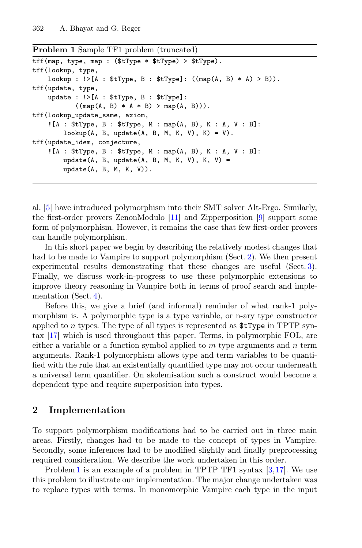| Problem 1 Sample TF1 problem (truncated) |  |
|------------------------------------------|--|
|------------------------------------------|--|

```
tff(map, type, map : ($tType * $tType) > $tType).
tff(lookup, type,
    lookup : !\triangleright[A : $tType, B : $tType]: ((map(A, B) * A) > B)).
tff(update, type,
    update : !>[A : $tType, B : $tType]:
           ((map(A, B) * A * B) > map(A, B))).tff(lookup_update_same, axiom,
    ![A : $tType, B : $tType, M : map(A, B), K : A, V : B]:
        lookup(A, B, update(A, B, M, K, V), K) = V).
tff(update_idem, conjecture,
    ![A : $tType, B : $tType, M : map(A, B), K : A, V : B]:
        update(A, B, update(A, B, M, K, V), K, V) =update(A, B, M, K, V)).
```
<span id="page-1-1"></span>al. [\[5\]](#page-6-3) have introduced polymorphism into their SMT solver Alt-Ergo. Similarly, the first-order provers ZenonModulo [\[11\]](#page-7-1) and Zipperposition [\[9](#page-6-4)] support some form of polymorphism. However, it remains the case that few first-order provers can handle polymorphism.

In this short paper we begin by describing the relatively modest changes that had to be made to Vampire to support polymorphism (Sect. [2\)](#page-1-0). We then present experimental results demonstrating that these changes are useful (Sect. [3\)](#page-2-0). Finally, we discuss work-in-progress to use these polymorphic extensions to improve theory reasoning in Vampire both in terms of proof search and implementation (Sect. [4\)](#page-4-0).

Before this, we give a brief (and informal) reminder of what rank-1 polymorphism is. A polymorphic type is a type variable, or n-ary type constructor applied to *n* types. The type of all types is represented as  $\text{tType}$  in TPTP syntax [\[17\]](#page-7-2) which is used throughout this paper. Terms, in polymorphic FOL, are either a variable or a function symbol applied to *m* type arguments and *n* term arguments. Rank-1 polymorphism allows type and term variables to be quantified with the rule that an existentially quantified type may not occur underneath a universal term quantifier. On skolemisation such a construct would become a dependent type and require superposition into types.

### <span id="page-1-0"></span>2 Implementation

To support polymorphism modifications had to be carried out in three main areas. Firstly, changes had to be made to the concept of types in Vampire. Secondly, some inferences had to be modified slightly and finally preprocessing required consideration. We describe the work undertaken in this order.

Problem [1](#page-1-1) is an example of a problem in TPTP TF1 syntax [\[3,](#page-6-5)[17\]](#page-7-2). We use this problem to illustrate our implementation. The major change undertaken was to replace types with terms. In monomorphic Vampire each type in the input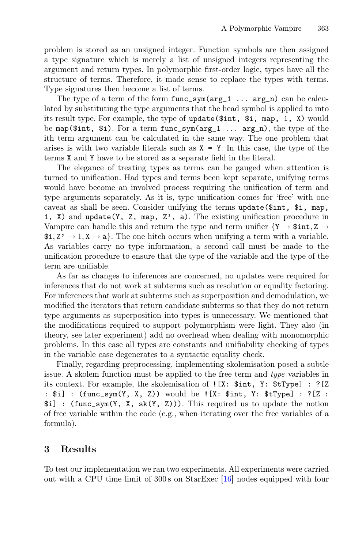problem is stored as an unsigned integer. Function symbols are then assigned a type signature which is merely a list of unsigned integers representing the argument and return types. In polymorphic first-order logic, types have all the structure of terms. Therefore, it made sense to replace the types with terms. Type signatures then become a list of terms.

The type of a term of the form  $func\_sym(arg_1 \ldots arg_n)$  can be calculated by substituting the type arguments that the head symbol is applied to into its result type. For example, the type of update(\$int, \$i, map, 1, X) would be map( $$int, $i)$ . For a term  $func\_sym(arg_1 \ldots arg_n)$ , the type of the ith term argument can be calculated in the same way. The one problem that arises is with two variable literals such as  $X = Y$ . In this case, the type of the terms X and Y have to be stored as a separate field in the literal.

The elegance of treating types as terms can be gauged when attention is turned to unification. Had types and terms been kept separate, unifying terms would have become an involved process requiring the unification of term and type arguments separately. As it is, type unification comes for 'free' with one caveat as shall be seen. Consider unifying the terms update(\$int, \$i, map, 1, X) and update(Y, Z, map, Z', a). The existing unification procedure in Vampire can handle this and return the type and term unifier  ${Y \rightarrow$  \$int, Z  $\rightarrow$  $\sharp i, Z' \to 1, X \to a$ . The one hitch occurs when unifying a term with a variable. As variables carry no type information, a second call must be made to the unification procedure to ensure that the type of the variable and the type of the term are unifiable.

As far as changes to inferences are concerned, no updates were required for inferences that do not work at subterms such as resolution or equality factoring. For inferences that work at subterms such as superposition and demodulation, we modified the iterators that return candidate subterms so that they do not return type arguments as superposition into types is unnecessary. We mentioned that the modifications required to support polymorphism were light. They also (in theory, see later experiment) add no overhead when dealing with monomorphic problems. In this case all types are constants and unifiability checking of types in the variable case degenerates to a syntactic equality check.

Finally, regarding preprocessing, implementing skolemisation posed a subtle issue. A skolem function must be applied to the free term and *type* variables in its context. For example, the skolemisation of ![X: \$int, Y: \$tType] : ?[Z : \$i] : (func\_sym(Y, X, Z)) would be ![X: \$int, Y: \$tType] : ?[Z : \$i] : (func\_sym(Y, X, sk(Y, Z))). This required us to update the notion of free variable within the code (e.g., when iterating over the free variables of a formula).

## <span id="page-2-0"></span>3 Results

To test our implementation we ran two experiments. All experiments were carried out with a CPU time limit of 300 s on StarExec [\[16](#page-7-3)] nodes equipped with four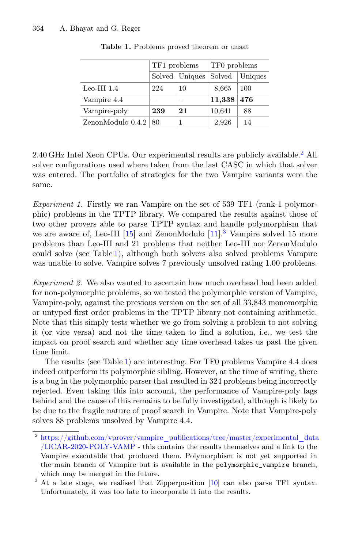<span id="page-3-2"></span>

|                              | TF1 problems |                  | TF0 problems |         |
|------------------------------|--------------|------------------|--------------|---------|
|                              |              | Solved   Uniques | Solved       | Uniques |
| Leo-III $1.4$                | 224          | 10               | 8,665        | 100     |
| Vampire 4.4                  |              |                  | 11,338       | 476     |
| Vampire-poly                 | 239          | 21               | 10,641       | 88      |
| ZenonModulo $0.4.2 \, \, 80$ |              |                  | 2,926        | 14      |

Table 1. Problems proved theorem or unsat

2.40 GHz Intel Xeon CPUs. Our experimental results are publicly available.[2](#page-3-0) All solver configurations used where taken from the last CASC in which that solver was entered. The portfolio of strategies for the two Vampire variants were the same.

*Experiment 1.* Firstly we ran Vampire on the set of 539 TF1 (rank-1 polymorphic) problems in the TPTP library. We compared the results against those of two other provers able to parse TPTP syntax and handle polymorphism that we are aware of, Leo-III  $[15]$  $[15]$  and ZenonModulo  $[11]$  $[11]$ .<sup>[3](#page-3-1)</sup> Vampire solved 15 more problems than Leo-III and 21 problems that neither Leo-III nor ZenonModulo could solve (see Table [1\)](#page-3-2), although both solvers also solved problems Vampire was unable to solve. Vampire solves 7 previously unsolved rating 1.00 problems.

*Experiment 2.* We also wanted to ascertain how much overhead had been added for non-polymorphic problems, so we tested the polymorphic version of Vampire, Vampire-poly, against the previous version on the set of all 33,843 monomorphic or untyped first order problems in the TPTP library not containing arithmetic. Note that this simply tests whether we go from solving a problem to not solving it (or vice versa) and not the time taken to find a solution, i.e., we test the impact on proof search and whether any time overhead takes us past the given time limit.

The results (see Table [1\)](#page-3-2) are interesting. For TF0 problems Vampire 4.4 does indeed outperform its polymorphic sibling. However, at the time of writing, there is a bug in the polymorphic parser that resulted in 324 problems being incorrectly rejected. Even taking this into account, the performance of Vampire-poly lags behind and the cause of this remains to be fully investigated, although is likely to be due to the fragile nature of proof search in Vampire. Note that Vampire-poly solves 88 problems unsolved by Vampire 4.4.

<span id="page-3-0"></span><sup>&</sup>lt;sup>2</sup> [https://github.com/vprover/vampire\\_publications/tree/master/experimental\\_data](https://github.com/vprover/vampire_publications/tree/master/experimental_data/IJCAR-2020-POLY-VAMP) [/IJCAR-2020-POLY-VAMP](https://github.com/vprover/vampire_publications/tree/master/experimental_data/IJCAR-2020-POLY-VAMP) - this contains the results themselves and a link to the Vampire executable that produced them. Polymorphism is not yet supported in the main branch of Vampire but is available in the polymorphic\_vampire branch, which may be merged in the future.

<span id="page-3-1"></span><sup>&</sup>lt;sup>3</sup> At a late stage, we realised that Zipperposition [\[10\]](#page-6-6) can also parse TF1 syntax. Unfortunately, it was too late to incorporate it into the results.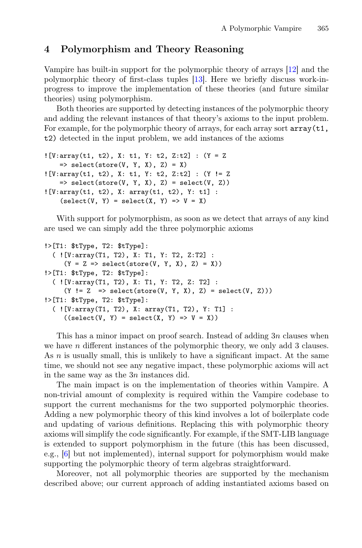## <span id="page-4-0"></span>4 Polymorphism and Theory Reasoning

Vampire has built-in support for the polymorphic theory of arrays [\[12\]](#page-7-5) and the polymorphic theory of first-class tuples [\[13](#page-7-6)]. Here we briefly discuss work-inprogress to improve the implementation of these theories (and future similar theories) using polymorphism.

Both theories are supported by detecting instances of the polymorphic theory and adding the relevant instances of that theory's axioms to the input problem. For example, for the polymorphic theory of arrays, for each array sort  $array(t1,$ t2) detected in the input problem, we add instances of the axioms

```
![V:array(t1, t2), X: t1, Y: t2, Z:t2] : (Y = Z)\Rightarrow select(store(V, Y, X), Z) = X)
![V:array(t1, t2), X: t1, Y: t2, Z:t2] : (Y != Z
    \Rightarrow select(store(V, Y, X), Z) = select(V, Z))
![V:array(t1, t2), X: array(t1, t2), Y: t1] :
    (select(V, Y) = select(X, Y) \Rightarrow V = X)
```
With support for polymorphism, as soon as we detect that arrays of any kind are used we can simply add the three polymorphic axioms

```
!>[T1: $tType, T2: $tType]:
  ( ![V:array(T1, T2), X: T1, Y: T2, Z:T2] :
     (Y = Z \Rightarrow select(store(V, Y, X), Z) = X))!>[T1: $tType, T2: $tType]:
  ( ![V:array(T1, T2), X: T1, Y: T2, Z: T2] :
     (Y := Z \Rightarrow select(store(V, Y, X), Z) = select(V, Z))!>[T1: $tType, T2: $tType]:
  ( ![V:array(T1, T2), X: array(T1, T2), Y: T1] :
     ((select(V, Y) = select(X, Y) =& Y = X))
```
This has a minor impact on proof search. Instead of adding 3*n* clauses when we have *n* different instances of the polymorphic theory, we only add 3 clauses. As *n* is usually small, this is unlikely to have a significant impact. At the same time, we should not see any negative impact, these polymorphic axioms will act in the same way as the 3*n* instances did.

The main impact is on the implementation of theories within Vampire. A non-trivial amount of complexity is required within the Vampire codebase to support the current mechanisms for the two supported polymorphic theories. Adding a new polymorphic theory of this kind involves a lot of boilerplate code and updating of various definitions. Replacing this with polymorphic theory axioms will simplify the code significantly. For example, if the SMT-LIB language is extended to support polymorphism in the future (this has been discussed, e.g., [\[6\]](#page-6-7) but not implemented), internal support for polymorphism would make supporting the polymorphic theory of term algebras straightforward.

Moreover, not all polymorphic theories are supported by the mechanism described above; our current approach of adding instantiated axioms based on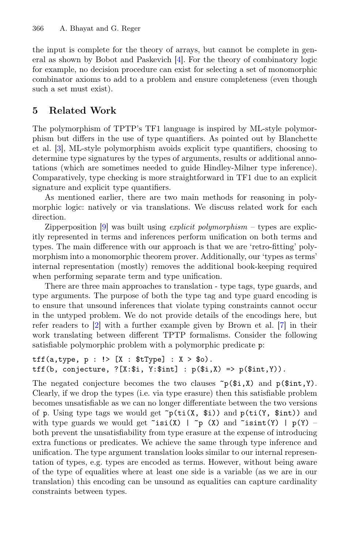the input is complete for the theory of arrays, but cannot be complete in general as shown by Bobot and Paskevich [\[4\]](#page-6-8). For the theory of combinatory logic for example, no decision procedure can exist for selecting a set of monomorphic combinator axioms to add to a problem and ensure completeness (even though such a set must exist).

## <span id="page-5-0"></span>5 Related Work

The polymorphism of TPTP's TF1 language is inspired by ML-style polymorphism but differs in the use of type quantifiers. As pointed out by Blanchette et al. [\[3](#page-6-5)], ML-style polymorphism avoids explicit type quantifiers, choosing to determine type signatures by the types of arguments, results or additional annotations (which are sometimes needed to guide Hindley-Milner type inference). Comparatively, type checking is more straightforward in TF1 due to an explicit signature and explicit type quantifiers.

As mentioned earlier, there are two main methods for reasoning in polymorphic logic: natively or via translations. We discuss related work for each direction.

Zipperposition [\[9\]](#page-6-4) was built using *explicit polymorphism* – types are explicitly represented in terms and inferences perform unification on both terms and types. The main difference with our approach is that we are 'retro-fitting' polymorphism into a monomorphic theorem prover. Additionally, our 'types as terms' internal representation (mostly) removes the additional book-keeping required when performing separate term and type unification.

There are three main approaches to translation - type tags, type guards, and type arguments. The purpose of both the type tag and type guard encoding is to ensure that unsound inferences that violate typing constraints cannot occur in the untyped problem. We do not provide details of the encodings here, but refer readers to [\[2\]](#page-6-2) with a further example given by Brown et al. [\[7\]](#page-6-9) in their work translating between different TPTP formalisms. Consider the following satisfiable polymorphic problem with a polymorphic predicate p:

```
\text{tf}(a, \text{type}, p : !> [X : $tType] : X > $0).\text{tf(b, conjecture, ?[X:§i, Y:§int] : p($i,X) \Rightarrow p($int,Y).
```
The negated conjecture becomes the two clauses  $\tilde{\rho}(\hat{\xi}, \chi)$  and  $p(\hat{\xi}, \chi)$ . Clearly, if we drop the types (i.e. via type erasure) then this satisfiable problem becomes unsatisfiable as we can no longer differentiate between the two versions of p. Using type tags we would get  $\tilde{\mathcal{P}}(\text{ti}(X, \, \text{Si}))$  and  $p(\text{ti}(Y, \, \text{Sint}))$  and with type guards we would get  $\tilde{ }$ isi(X) |  $\tilde{ }$ p (X) and  $\tilde{ }$ isint(Y) | p(Y) – both prevent the unsatisfiability from type erasure at the expense of introducing extra functions or predicates. We achieve the same through type inference and unification. The type argument translation looks similar to our internal representation of types, e.g. types are encoded as terms. However, without being aware of the type of equalities where at least one side is a variable (as we are in our translation) this encoding can be unsound as equalities can capture cardinality constraints between types.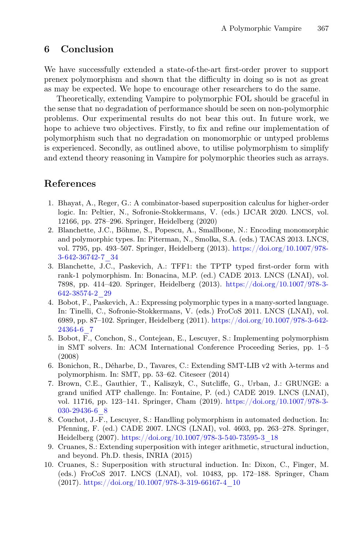### 6 Conclusion

We have successfully extended a state-of-the-art first-order prover to support prenex polymorphism and shown that the difficulty in doing so is not as great as may be expected. We hope to encourage other researchers to do the same.

Theoretically, extending Vampire to polymorphic FOL should be graceful in the sense that no degradation of performance should be seen on non-polymorphic problems. Our experimental results do not bear this out. In future work, we hope to achieve two objectives. Firstly, to fix and refine our implementation of polymorphism such that no degradation on monomorphic or untyped problems is experienced. Secondly, as outlined above, to utilise polymorphism to simplify and extend theory reasoning in Vampire for polymorphic theories such as arrays.

## References

- <span id="page-6-0"></span>1. Bhayat, A., Reger, G.: A combinator-based superposition calculus for higher-order logic. In: Peltier, N., Sofronie-Stokkermans, V. (eds.) IJCAR 2020. LNCS, vol. 12166, pp. 278–296. Springer, Heidelberg (2020)
- <span id="page-6-2"></span>2. Blanchette, J.C., Böhme, S., Popescu, A., Smallbone, N.: Encoding monomorphic and polymorphic types. In: Piterman, N., Smolka, S.A. (eds.) TACAS 2013. LNCS, vol. 7795, pp. 493–507. Springer, Heidelberg (2013). [https://doi.org/10.1007/978-](https://doi.org/10.1007/978-3-642-36742-7_34) [3-642-36742-7\\_34](https://doi.org/10.1007/978-3-642-36742-7_34)
- <span id="page-6-5"></span>3. Blanchette, J.C., Paskevich, A.: TFF1: the TPTP typed first-order form with rank-1 polymorphism. In: Bonacina, M.P. (ed.) CADE 2013. LNCS (LNAI), vol. 7898, pp. 414–420. Springer, Heidelberg (2013). [https://doi.org/10.1007/978-3-](https://doi.org/10.1007/978-3-642-38574-2_29) [642-38574-2\\_29](https://doi.org/10.1007/978-3-642-38574-2_29)
- <span id="page-6-8"></span>4. Bobot, F., Paskevich, A.: Expressing polymorphic types in a many-sorted language. In: Tinelli, C., Sofronie-Stokkermans, V. (eds.) FroCoS 2011. LNCS (LNAI), vol. 6989, pp. 87–102. Springer, Heidelberg (2011). [https://doi.org/10.1007/978-3-642-](https://doi.org/10.1007/978-3-642-24364-6_7) [24364-6\\_7](https://doi.org/10.1007/978-3-642-24364-6_7)
- <span id="page-6-3"></span>5. Bobot, F., Conchon, S., Contejean, E., Lescuyer, S.: Implementing polymorphism in SMT solvers. In: ACM International Conference Proceeding Series, pp. 1–5 (2008)
- <span id="page-6-7"></span>6. Bonichon, R., Déharbe, D., Tavares, C.: Extending SMT-LIB v2 with  $\lambda$ -terms and polymorphism. In: SMT, pp. 53–62. Citeseer (2014)
- <span id="page-6-9"></span>7. Brown, C.E., Gauthier, T., Kaliszyk, C., Sutcliffe, G., Urban, J.: GRUNGE: a grand unified ATP challenge. In: Fontaine, P. (ed.) CADE 2019. LNCS (LNAI), vol. 11716, pp. 123–141. Springer, Cham (2019). [https://doi.org/10.1007/978-3-](https://doi.org/10.1007/978-3-030-29436-6_8) [030-29436-6\\_8](https://doi.org/10.1007/978-3-030-29436-6_8)
- <span id="page-6-1"></span>8. Couchot, J.-F., Lescuyer, S.: Handling polymorphism in automated deduction. In: Pfenning, F. (ed.) CADE 2007. LNCS (LNAI), vol. 4603, pp. 263–278. Springer, Heidelberg (2007). [https://doi.org/10.1007/978-3-540-73595-3\\_18](https://doi.org/10.1007/978-3-540-73595-3_18)
- <span id="page-6-4"></span>9. Cruanes, S.: Extending superposition with integer arithmetic, structural induction, and beyond. Ph.D. thesis, INRIA (2015)
- <span id="page-6-6"></span>10. Cruanes, S.: Superposition with structural induction. In: Dixon, C., Finger, M. (eds.) FroCoS 2017. LNCS (LNAI), vol. 10483, pp. 172–188. Springer, Cham  $(2017)$ . https://doi.org/10.1007/978-3-319-66167-4 10